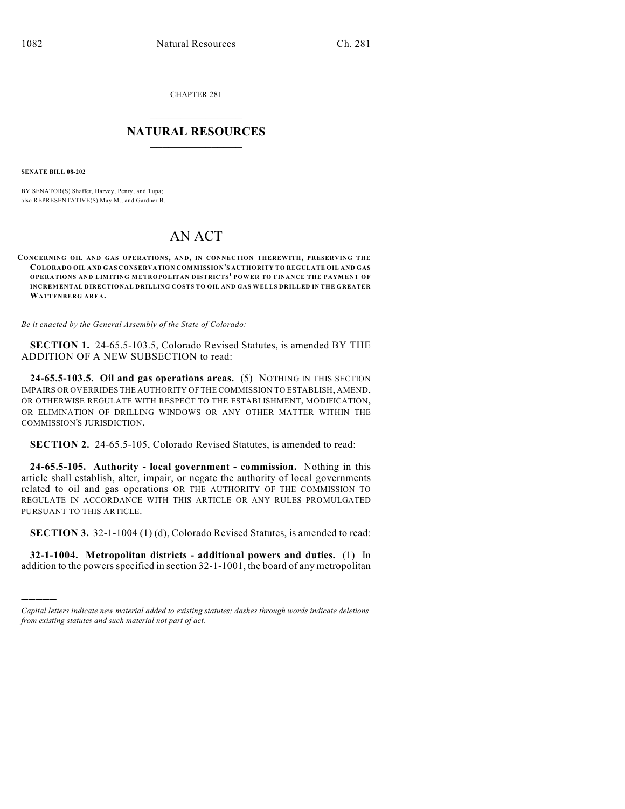CHAPTER 281

## $\mathcal{L}_\text{max}$  . The set of the set of the set of the set of the set of the set of the set of the set of the set of the set of the set of the set of the set of the set of the set of the set of the set of the set of the set **NATURAL RESOURCES**  $\frac{1}{\sqrt{2}}$  ,  $\frac{1}{\sqrt{2}}$  ,  $\frac{1}{\sqrt{2}}$  ,  $\frac{1}{\sqrt{2}}$  ,  $\frac{1}{\sqrt{2}}$  ,  $\frac{1}{\sqrt{2}}$

**SENATE BILL 08-202**

)))))

BY SENATOR(S) Shaffer, Harvey, Penry, and Tupa; also REPRESENTATIVE(S) May M., and Gardner B.

## AN ACT

## **CONCERNING OIL AND GAS OPERATIONS, AND, IN CONNECTION THEREWITH, PRESERVING THE COLORADO OIL AND GAS CONSERVATION COMMISSION'S AUTHORITY TO REGULATE OIL AND GAS OPERATIONS AND LIMITING METROPOLITAN DISTRICTS' POW ER TO FINANCE THE PAYMENT OF INCREMENTAL DIRECTIONAL DRILLING COSTS TO OIL AND GAS WELLS DRILLED IN THE GREATER WATTENBERG AREA.**

*Be it enacted by the General Assembly of the State of Colorado:*

**SECTION 1.** 24-65.5-103.5, Colorado Revised Statutes, is amended BY THE ADDITION OF A NEW SUBSECTION to read:

**24-65.5-103.5. Oil and gas operations areas.** (5) NOTHING IN THIS SECTION IMPAIRS OR OVERRIDES THE AUTHORITY OF THE COMMISSION TO ESTABLISH, AMEND, OR OTHERWISE REGULATE WITH RESPECT TO THE ESTABLISHMENT, MODIFICATION, OR ELIMINATION OF DRILLING WINDOWS OR ANY OTHER MATTER WITHIN THE COMMISSION'S JURISDICTION.

**SECTION 2.** 24-65.5-105, Colorado Revised Statutes, is amended to read:

**24-65.5-105. Authority - local government - commission.** Nothing in this article shall establish, alter, impair, or negate the authority of local governments related to oil and gas operations OR THE AUTHORITY OF THE COMMISSION TO REGULATE IN ACCORDANCE WITH THIS ARTICLE OR ANY RULES PROMULGATED PURSUANT TO THIS ARTICLE.

**SECTION 3.** 32-1-1004 (1) (d), Colorado Revised Statutes, is amended to read:

**32-1-1004. Metropolitan districts - additional powers and duties.** (1) In addition to the powers specified in section 32-1-1001, the board of any metropolitan

*Capital letters indicate new material added to existing statutes; dashes through words indicate deletions from existing statutes and such material not part of act.*